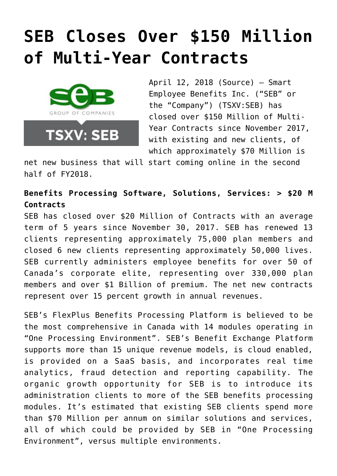# **[SEB Closes Over \\$150 Million](https://investorintel.com/markets/technology/technology-news/seb-closes-150-million-multi-year-contracts/) [of Multi-Year Contracts](https://investorintel.com/markets/technology/technology-news/seb-closes-150-million-multi-year-contracts/)**



April 12, 2018 [\(Source\)](https://investorintel.com/iintel-members/smart-employee-benefits-inc/) — Smart Employee Benefits Inc. ("SEB" or the "Company") (TSXV:SEB) has closed over \$150 Million of Multi-Year Contracts since November 2017, with existing and new clients, of which approximately \$70 Million is

net new business that will start coming online in the second half of FY2018.

**Benefits Processing Software, Solutions, Services: > \$20 M Contracts**

SEB has closed over \$20 Million of Contracts with an average term of 5 years since November 30, 2017. SEB has renewed 13 clients representing approximately 75,000 plan members and closed 6 new clients representing approximately 50,000 lives. SEB currently administers employee benefits for over 50 of Canada's corporate elite, representing over 330,000 plan members and over \$1 Billion of premium. The net new contracts represent over 15 percent growth in annual revenues.

SEB's FlexPlus Benefits Processing Platform is believed to be the most comprehensive in Canada with 14 modules operating in "One Processing Environment". SEB's Benefit Exchange Platform supports more than 15 unique revenue models, is cloud enabled, is provided on a SaaS basis, and incorporates real time analytics, fraud detection and reporting capability. The organic growth opportunity for SEB is to introduce its administration clients to more of the SEB benefits processing modules. It's estimated that existing SEB clients spend more than \$70 Million per annum on similar solutions and services, all of which could be provided by SEB in "One Processing Environment", versus multiple environments.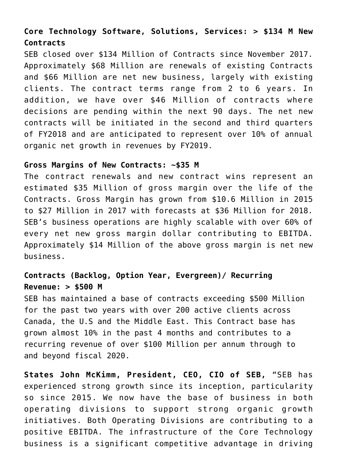## **Core Technology Software, Solutions, Services: > \$134 M New Contracts**

SEB closed over \$134 Million of Contracts since November 2017. Approximately \$68 Million are renewals of existing Contracts and \$66 Million are net new business, largely with existing clients. The contract terms range from 2 to 6 years. In addition, we have over \$46 Million of contracts where decisions are pending within the next 90 days. The net new contracts will be initiated in the second and third quarters of FY2018 and are anticipated to represent over 10% of annual organic net growth in revenues by FY2019.

#### **Gross Margins of New Contracts: ~\$35 M**

The contract renewals and new contract wins represent an estimated \$35 Million of gross margin over the life of the Contracts. Gross Margin has grown from \$10.6 Million in 2015 to \$27 Million in 2017 with forecasts at \$36 Million for 2018. SEB's business operations are highly scalable with over 60% of every net new gross margin dollar contributing to EBITDA. Approximately \$14 Million of the above gross margin is net new business.

## **Contracts (Backlog, Option Year, Evergreen)/ Recurring Revenue: > \$500 M**

SEB has maintained a base of contracts exceeding \$500 Million for the past two years with over 200 active clients across Canada, the U.S and the Middle East. This Contract base has grown almost 10% in the past 4 months and contributes to a recurring revenue of over \$100 Million per annum through to and beyond fiscal 2020.

**States John McKimm, President, CEO, CIO of SEB,** "SEB has experienced strong growth since its inception, particularity so since 2015. We now have the base of business in both operating divisions to support strong organic growth initiatives. Both Operating Divisions are contributing to a positive EBITDA. The infrastructure of the Core Technology business is a significant competitive advantage in driving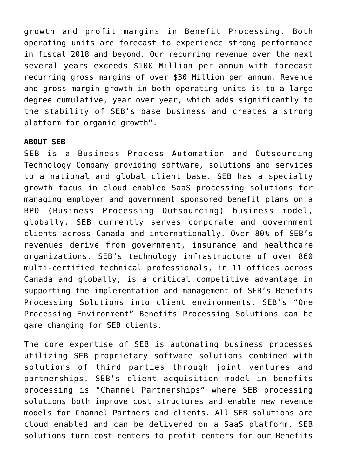growth and profit margins in Benefit Processing. Both operating units are forecast to experience strong performance in fiscal 2018 and beyond. Our recurring revenue over the next several years exceeds \$100 Million per annum with forecast recurring gross margins of over \$30 Million per annum. Revenue and gross margin growth in both operating units is to a large degree cumulative, year over year, which adds significantly to the stability of SEB's base business and creates a strong platform for organic growth".

### **ABOUT SEB**

SEB is a Business Process Automation and Outsourcing Technology Company providing software, solutions and services to a national and global client base. SEB has a specialty growth focus in cloud enabled SaaS processing solutions for managing employer and government sponsored benefit plans on a BPO (Business Processing Outsourcing) business model, globally. SEB currently serves corporate and government clients across Canada and internationally. Over 80% of SEB's revenues derive from government, insurance and healthcare organizations. SEB's technology infrastructure of over 860 multi-certified technical professionals, in 11 offices across Canada and globally, is a critical competitive advantage in supporting the implementation and management of SEB's Benefits Processing Solutions into client environments. SEB's "One Processing Environment" Benefits Processing Solutions can be game changing for SEB clients.

The core expertise of SEB is automating business processes utilizing SEB proprietary software solutions combined with solutions of third parties through joint ventures and partnerships. SEB's client acquisition model in benefits processing is "Channel Partnerships" where SEB processing solutions both improve cost structures and enable new revenue models for Channel Partners and clients. All SEB solutions are cloud enabled and can be delivered on a SaaS platform. SEB solutions turn cost centers to profit centers for our Benefits